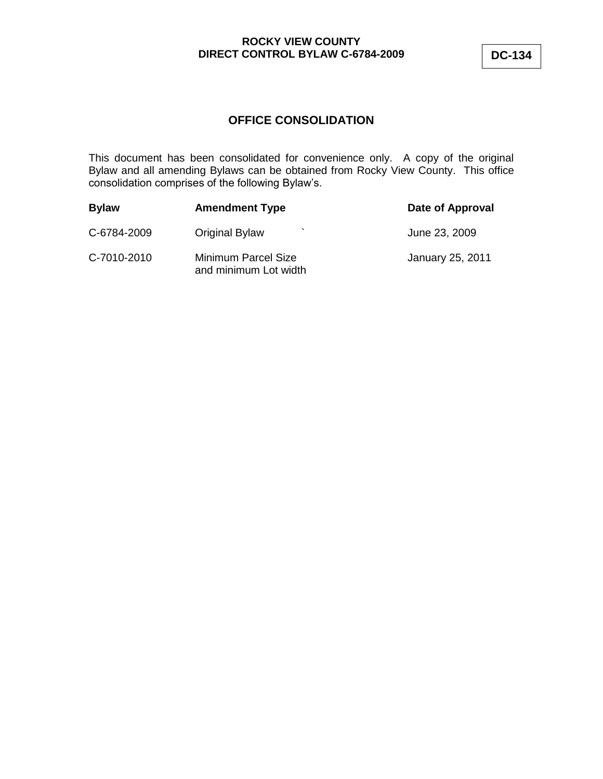# **OFFICE CONSOLIDATION**

This document has been consolidated for convenience only. A copy of the original Bylaw and all amending Bylaws can be obtained from Rocky View County. This office consolidation comprises of the following Bylaw's.

| <b>Bylaw</b> | <b>Amendment Type</b>                        | Date of Approval |
|--------------|----------------------------------------------|------------------|
| C-6784-2009  | <b>Original Bylaw</b>                        | June 23, 2009    |
| C-7010-2010  | Minimum Parcel Size<br>and minimum Lot width | January 25, 2011 |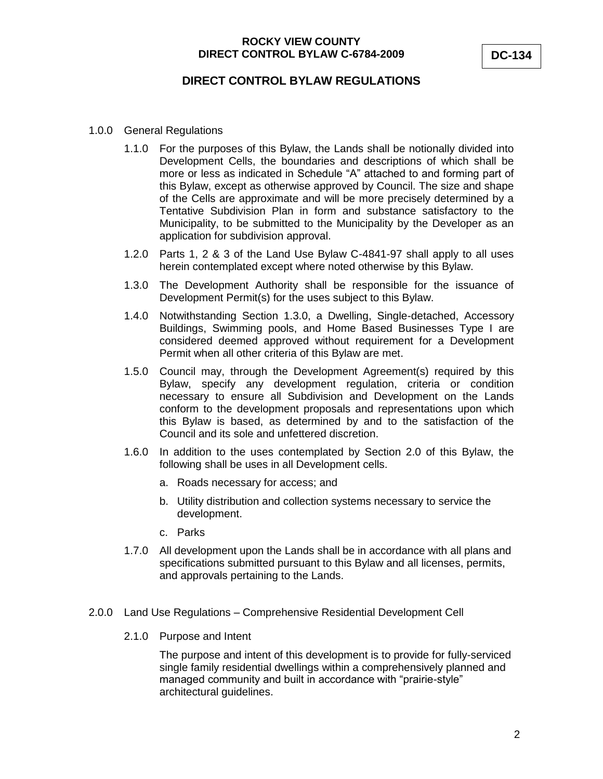# **DIRECT CONTROL BYLAW REGULATIONS**

- 1.0.0 General Regulations
	- 1.1.0 For the purposes of this Bylaw, the Lands shall be notionally divided into Development Cells, the boundaries and descriptions of which shall be more or less as indicated in Schedule "A" attached to and forming part of this Bylaw, except as otherwise approved by Council. The size and shape of the Cells are approximate and will be more precisely determined by a Tentative Subdivision Plan in form and substance satisfactory to the Municipality, to be submitted to the Municipality by the Developer as an application for subdivision approval.
	- 1.2.0 Parts 1, 2 & 3 of the Land Use Bylaw C-4841-97 shall apply to all uses herein contemplated except where noted otherwise by this Bylaw.
	- 1.3.0 The Development Authority shall be responsible for the issuance of Development Permit(s) for the uses subject to this Bylaw.
	- 1.4.0 Notwithstanding Section 1.3.0, a Dwelling, Single-detached, Accessory Buildings, Swimming pools, and Home Based Businesses Type I are considered deemed approved without requirement for a Development Permit when all other criteria of this Bylaw are met.
	- 1.5.0 Council may, through the Development Agreement(s) required by this Bylaw, specify any development regulation, criteria or condition necessary to ensure all Subdivision and Development on the Lands conform to the development proposals and representations upon which this Bylaw is based, as determined by and to the satisfaction of the Council and its sole and unfettered discretion.
	- 1.6.0 In addition to the uses contemplated by Section 2.0 of this Bylaw, the following shall be uses in all Development cells.
		- a. Roads necessary for access; and
		- b. Utility distribution and collection systems necessary to service the development.
		- c. Parks
	- 1.7.0 All development upon the Lands shall be in accordance with all plans and specifications submitted pursuant to this Bylaw and all licenses, permits, and approvals pertaining to the Lands.

#### 2.0.0 Land Use Regulations – Comprehensive Residential Development Cell

2.1.0 Purpose and Intent

The purpose and intent of this development is to provide for fully-serviced single family residential dwellings within a comprehensively planned and managed community and built in accordance with "prairie-style" architectural guidelines.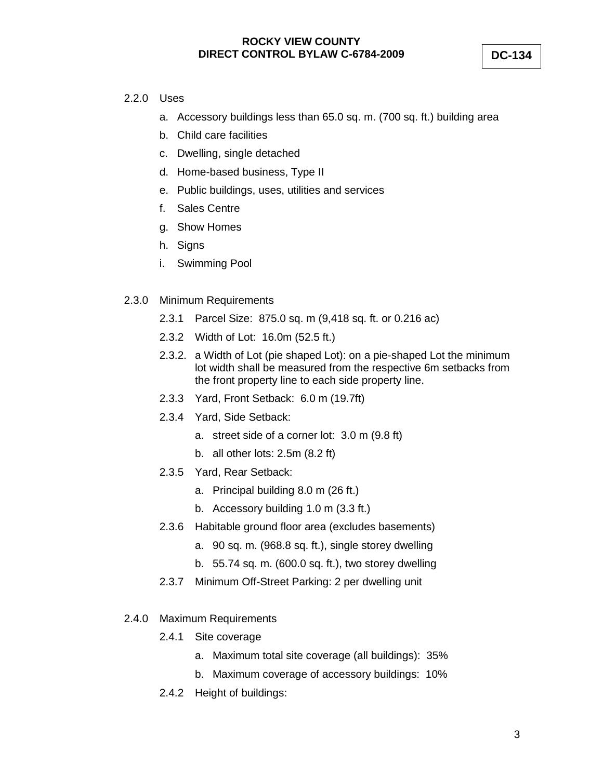**DC-134**

### 2.2.0 Uses

- a. Accessory buildings less than 65.0 sq. m. (700 sq. ft.) building area
- b. Child care facilities
- c. Dwelling, single detached
- d. Home-based business, Type II
- e. Public buildings, uses, utilities and services
- f. Sales Centre
- g. Show Homes
- h. Signs
- i. Swimming Pool
- 2.3.0 Minimum Requirements
	- 2.3.1 Parcel Size: 875.0 sq. m (9,418 sq. ft. or 0.216 ac)
	- 2.3.2 Width of Lot: 16.0m (52.5 ft.)
	- 2.3.2. a Width of Lot (pie shaped Lot): on a pie-shaped Lot the minimum lot width shall be measured from the respective 6m setbacks from the front property line to each side property line.
	- 2.3.3 Yard, Front Setback: 6.0 m (19.7ft)
	- 2.3.4 Yard, Side Setback:
		- a. street side of a corner lot: 3.0 m (9.8 ft)
		- b. all other lots: 2.5m (8.2 ft)
	- 2.3.5 Yard, Rear Setback:
		- a. Principal building 8.0 m (26 ft.)
		- b. Accessory building 1.0 m (3.3 ft.)
	- 2.3.6 Habitable ground floor area (excludes basements)
		- a. 90 sq. m. (968.8 sq. ft.), single storey dwelling
		- b. 55.74 sq. m. (600.0 sq. ft.), two storey dwelling
	- 2.3.7 Minimum Off-Street Parking: 2 per dwelling unit
- 2.4.0 Maximum Requirements
	- 2.4.1 Site coverage
		- a. Maximum total site coverage (all buildings): 35%
		- b. Maximum coverage of accessory buildings: 10%
	- 2.4.2 Height of buildings: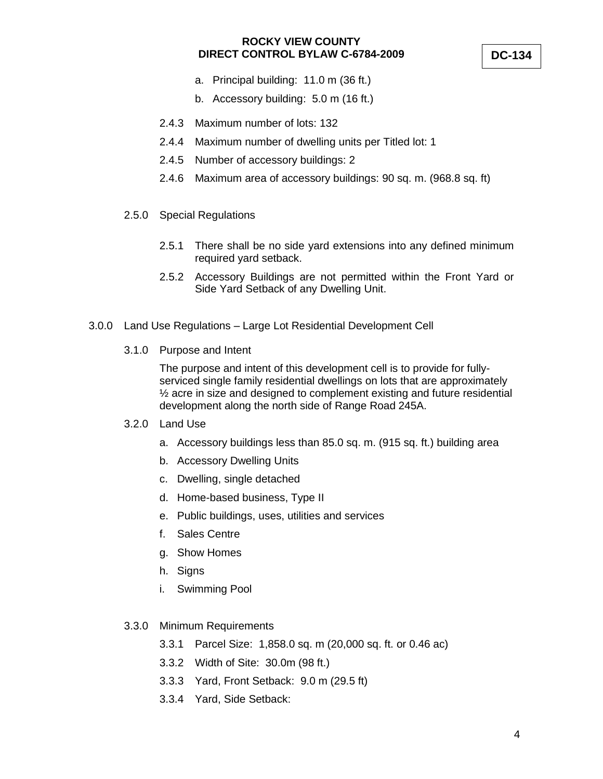- a. Principal building: 11.0 m (36 ft.)
- b. Accessory building: 5.0 m (16 ft.)
- 2.4.3 Maximum number of lots: 132
- 2.4.4 Maximum number of dwelling units per Titled lot: 1
- 2.4.5 Number of accessory buildings: 2
- 2.4.6 Maximum area of accessory buildings: 90 sq. m. (968.8 sq. ft)
- 2.5.0 Special Regulations
	- 2.5.1 There shall be no side yard extensions into any defined minimum required yard setback.
	- 2.5.2 Accessory Buildings are not permitted within the Front Yard or Side Yard Setback of any Dwelling Unit.
- 3.0.0 Land Use Regulations Large Lot Residential Development Cell
	- 3.1.0 Purpose and Intent

The purpose and intent of this development cell is to provide for fullyserviced single family residential dwellings on lots that are approximately ½ acre in size and designed to complement existing and future residential development along the north side of Range Road 245A.

- 3.2.0 Land Use
	- a. Accessory buildings less than 85.0 sq. m. (915 sq. ft.) building area
	- b. Accessory Dwelling Units
	- c. Dwelling, single detached
	- d. Home-based business, Type II
	- e. Public buildings, uses, utilities and services
	- f. Sales Centre
	- g. Show Homes
	- h. Signs
	- i. Swimming Pool
- 3.3.0 Minimum Requirements
	- 3.3.1 Parcel Size: 1,858.0 sq. m (20,000 sq. ft. or 0.46 ac)
	- 3.3.2 Width of Site: 30.0m (98 ft.)
	- 3.3.3 Yard, Front Setback: 9.0 m (29.5 ft)
	- 3.3.4 Yard, Side Setback: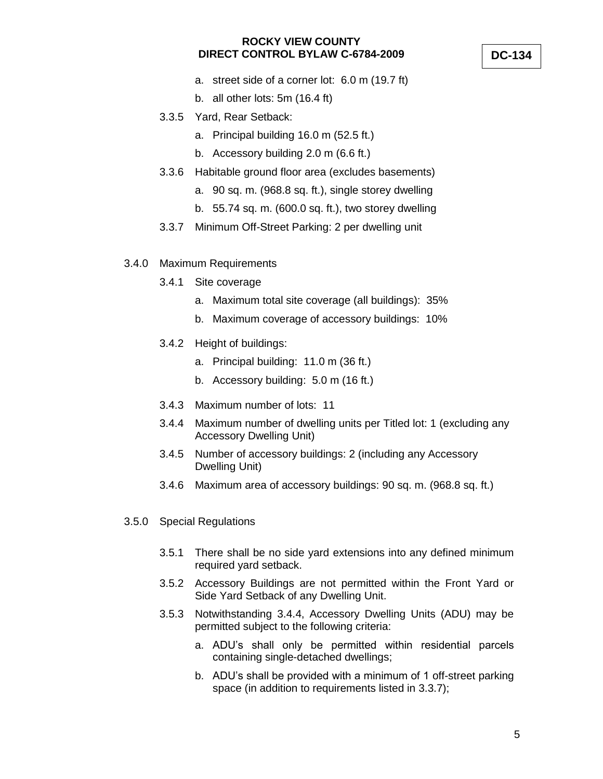- a. street side of a corner lot: 6.0 m (19.7 ft)
- b. all other lots: 5m (16.4 ft)
- 3.3.5 Yard, Rear Setback:
	- a. Principal building 16.0 m (52.5 ft.)
	- b. Accessory building 2.0 m (6.6 ft.)
- 3.3.6 Habitable ground floor area (excludes basements)
	- a. 90 sq. m. (968.8 sq. ft.), single storey dwelling
	- b. 55.74 sq. m. (600.0 sq. ft.), two storey dwelling
- 3.3.7 Minimum Off-Street Parking: 2 per dwelling unit
- 3.4.0 Maximum Requirements
	- 3.4.1 Site coverage
		- a. Maximum total site coverage (all buildings): 35%
		- b. Maximum coverage of accessory buildings: 10%
	- 3.4.2 Height of buildings:
		- a. Principal building: 11.0 m (36 ft.)
		- b. Accessory building: 5.0 m (16 ft.)
	- 3.4.3 Maximum number of lots: 11
	- 3.4.4 Maximum number of dwelling units per Titled lot: 1 (excluding any Accessory Dwelling Unit)
	- 3.4.5 Number of accessory buildings: 2 (including any Accessory Dwelling Unit)
	- 3.4.6 Maximum area of accessory buildings: 90 sq. m. (968.8 sq. ft.)
- 3.5.0 Special Regulations
	- 3.5.1 There shall be no side yard extensions into any defined minimum required yard setback.
	- 3.5.2 Accessory Buildings are not permitted within the Front Yard or Side Yard Setback of any Dwelling Unit.
	- 3.5.3 Notwithstanding 3.4.4, Accessory Dwelling Units (ADU) may be permitted subject to the following criteria:
		- a. ADU's shall only be permitted within residential parcels containing single-detached dwellings;
		- b. ADU's shall be provided with a minimum of 1 off-street parking space (in addition to requirements listed in 3.3.7);

#### **DC-134**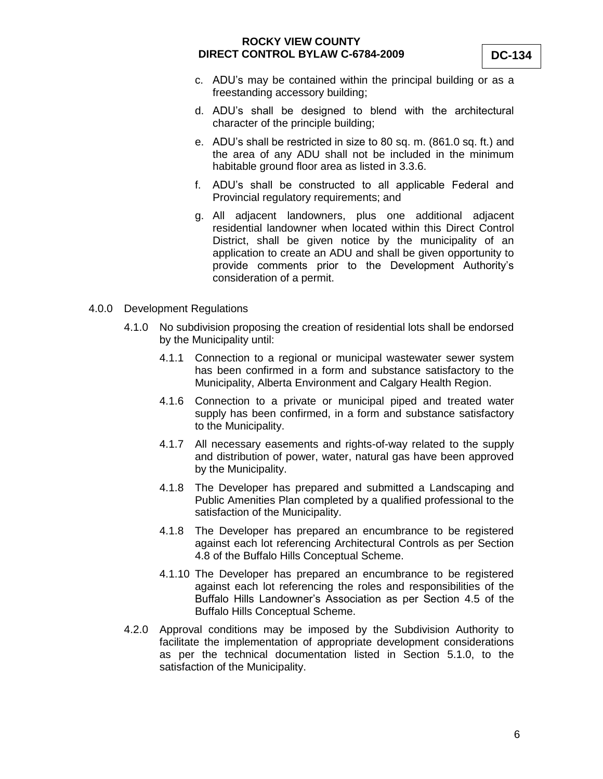- c. ADU's may be contained within the principal building or as a freestanding accessory building;
- d. ADU's shall be designed to blend with the architectural character of the principle building;
- e. ADU's shall be restricted in size to 80 sq. m. (861.0 sq. ft.) and the area of any ADU shall not be included in the minimum habitable ground floor area as listed in 3.3.6.
- f. ADU's shall be constructed to all applicable Federal and Provincial regulatory requirements; and
- g. All adjacent landowners, plus one additional adjacent residential landowner when located within this Direct Control District, shall be given notice by the municipality of an application to create an ADU and shall be given opportunity to provide comments prior to the Development Authority's consideration of a permit.
- 4.0.0 Development Regulations
	- 4.1.0 No subdivision proposing the creation of residential lots shall be endorsed by the Municipality until:
		- 4.1.1 Connection to a regional or municipal wastewater sewer system has been confirmed in a form and substance satisfactory to the Municipality, Alberta Environment and Calgary Health Region.
		- 4.1.6 Connection to a private or municipal piped and treated water supply has been confirmed, in a form and substance satisfactory to the Municipality.
		- 4.1.7 All necessary easements and rights-of-way related to the supply and distribution of power, water, natural gas have been approved by the Municipality.
		- 4.1.8 The Developer has prepared and submitted a Landscaping and Public Amenities Plan completed by a qualified professional to the satisfaction of the Municipality.
		- 4.1.8 The Developer has prepared an encumbrance to be registered against each lot referencing Architectural Controls as per Section 4.8 of the Buffalo Hills Conceptual Scheme.
		- 4.1.10 The Developer has prepared an encumbrance to be registered against each lot referencing the roles and responsibilities of the Buffalo Hills Landowner's Association as per Section 4.5 of the Buffalo Hills Conceptual Scheme.
	- 4.2.0 Approval conditions may be imposed by the Subdivision Authority to facilitate the implementation of appropriate development considerations as per the technical documentation listed in Section 5.1.0, to the satisfaction of the Municipality.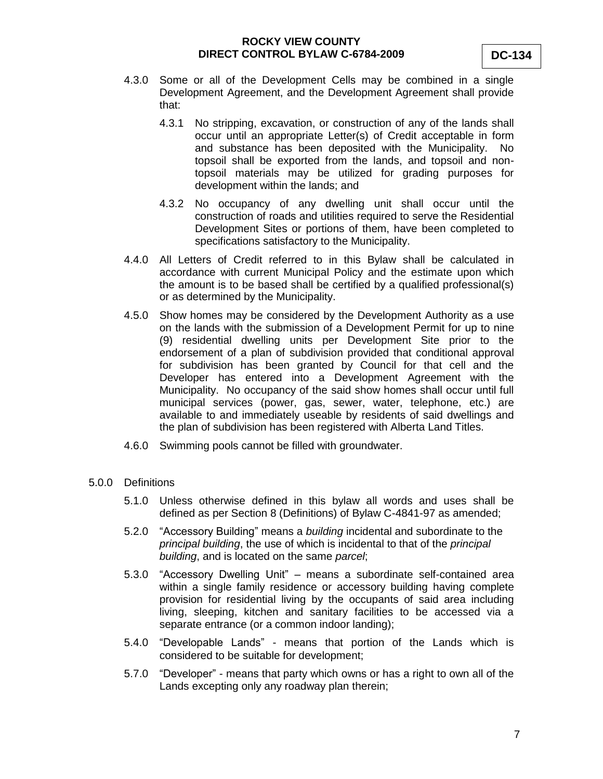- 4.3.0 Some or all of the Development Cells may be combined in a single Development Agreement, and the Development Agreement shall provide that:
	- 4.3.1 No stripping, excavation, or construction of any of the lands shall occur until an appropriate Letter(s) of Credit acceptable in form and substance has been deposited with the Municipality. No topsoil shall be exported from the lands, and topsoil and nontopsoil materials may be utilized for grading purposes for development within the lands; and
	- 4.3.2 No occupancy of any dwelling unit shall occur until the construction of roads and utilities required to serve the Residential Development Sites or portions of them, have been completed to specifications satisfactory to the Municipality.
- 4.4.0 All Letters of Credit referred to in this Bylaw shall be calculated in accordance with current Municipal Policy and the estimate upon which the amount is to be based shall be certified by a qualified professional(s) or as determined by the Municipality.
- 4.5.0 Show homes may be considered by the Development Authority as a use on the lands with the submission of a Development Permit for up to nine (9) residential dwelling units per Development Site prior to the endorsement of a plan of subdivision provided that conditional approval for subdivision has been granted by Council for that cell and the Developer has entered into a Development Agreement with the Municipality. No occupancy of the said show homes shall occur until full municipal services (power, gas, sewer, water, telephone, etc.) are available to and immediately useable by residents of said dwellings and the plan of subdivision has been registered with Alberta Land Titles.
- 4.6.0 Swimming pools cannot be filled with groundwater.
- 5.0.0 Definitions
	- 5.1.0 Unless otherwise defined in this bylaw all words and uses shall be defined as per Section 8 (Definitions) of Bylaw C-4841-97 as amended;
	- 5.2.0 "Accessory Building" means a *building* incidental and subordinate to the *principal building*, the use of which is incidental to that of the *principal building*, and is located on the same *parcel*;
	- 5.3.0 "Accessory Dwelling Unit" means a subordinate self-contained area within a single family residence or accessory building having complete provision for residential living by the occupants of said area including living, sleeping, kitchen and sanitary facilities to be accessed via a separate entrance (or a common indoor landing);
	- 5.4.0 "Developable Lands" means that portion of the Lands which is considered to be suitable for development;
	- 5.7.0 "Developer" means that party which owns or has a right to own all of the Lands excepting only any roadway plan therein;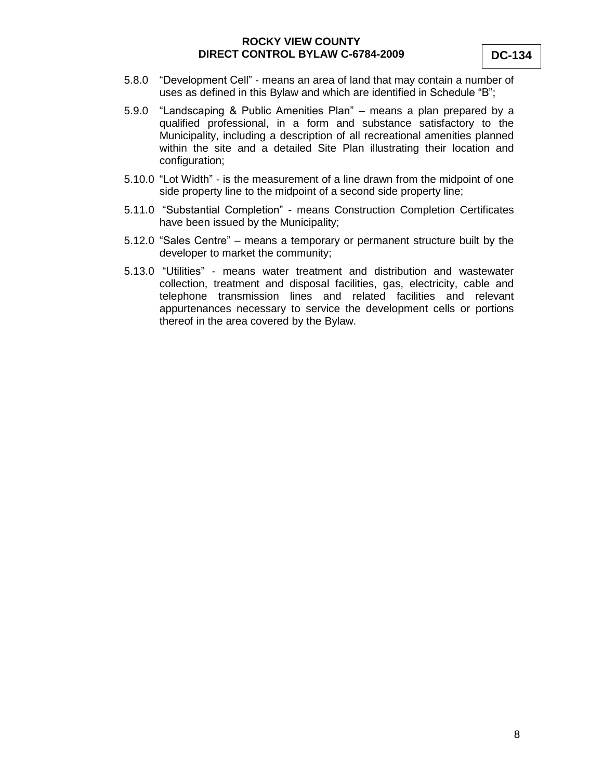- 5.8.0 "Development Cell" means an area of land that may contain a number of uses as defined in this Bylaw and which are identified in Schedule "B";
- 5.9.0 "Landscaping & Public Amenities Plan" means a plan prepared by a qualified professional, in a form and substance satisfactory to the Municipality, including a description of all recreational amenities planned within the site and a detailed Site Plan illustrating their location and configuration;
- 5.10.0 "Lot Width" is the measurement of a line drawn from the midpoint of one side property line to the midpoint of a second side property line;
- 5.11.0 "Substantial Completion" means Construction Completion Certificates have been issued by the Municipality;
- 5.12.0 "Sales Centre" means a temporary or permanent structure built by the developer to market the community;
- 5.13.0 "Utilities" means water treatment and distribution and wastewater collection, treatment and disposal facilities, gas, electricity, cable and telephone transmission lines and related facilities and relevant appurtenances necessary to service the development cells or portions thereof in the area covered by the Bylaw.